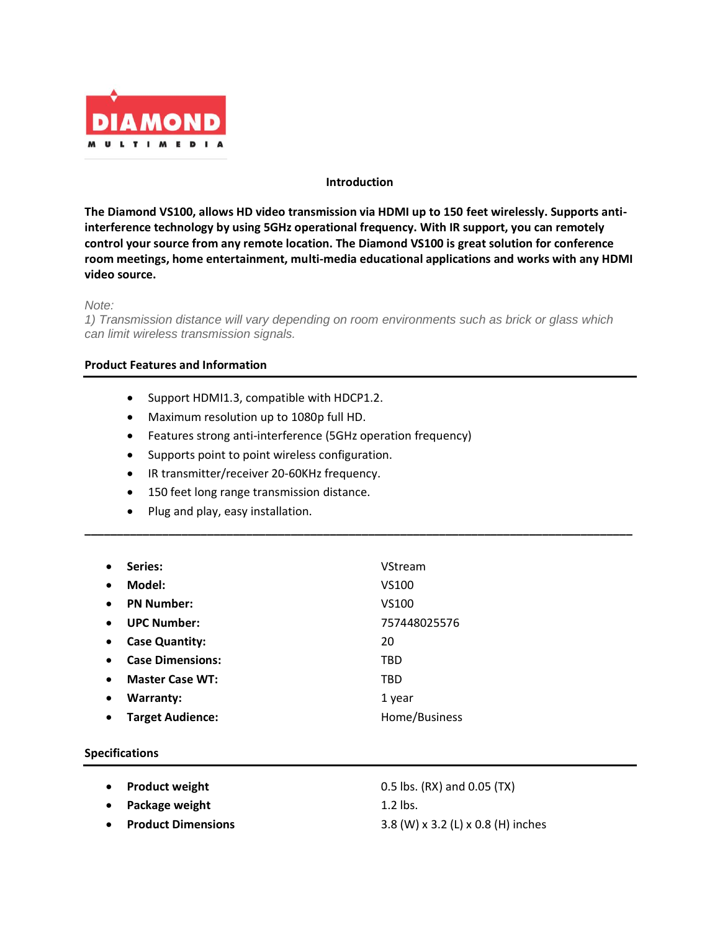

### **Introduction**

**The Diamond VS100, allows HD video transmission via HDMI up to 150 feet wirelessly. Supports antiinterference technology by using 5GHz operational frequency. With IR support, you can remotely control your source from any remote location. The Diamond VS100 is great solution for conference room meetings, home entertainment, multi-media educational applications and works with any HDMI video source.**

#### *Note:*

*1) Transmission distance will vary depending on room environments such as brick or glass which can limit wireless transmission signals.*

**\_\_\_\_\_\_\_\_\_\_\_\_\_\_\_\_\_\_\_\_\_\_\_\_\_\_\_\_\_\_\_\_\_\_\_\_\_\_\_\_\_\_\_\_\_\_\_\_\_\_\_\_\_\_\_\_\_\_\_\_\_\_\_\_\_\_\_\_\_\_\_\_\_\_\_\_\_\_\_\_\_\_\_\_\_**

#### **Product Features and Information**

- Support HDMI1.3, compatible with HDCP1.2.
- Maximum resolution up to 1080p full HD.
- Features strong anti-interference (5GHz operation frequency)
- Supports point to point wireless configuration.
- IR transmitter/receiver 20-60KHz frequency.
- 150 feet long range transmission distance.
- Plug and play, easy installation.

|           | Series:                 | VStream       |
|-----------|-------------------------|---------------|
| $\bullet$ | Model:                  | VS100         |
| $\bullet$ | <b>PN Number:</b>       | VS100         |
| $\bullet$ | <b>UPC Number:</b>      | 757448025576  |
| $\bullet$ | <b>Case Quantity:</b>   | 20            |
| $\bullet$ | <b>Case Dimensions:</b> | TBD           |
| $\bullet$ | <b>Master Case WT:</b>  | TBD           |
| $\bullet$ | <b>Warranty:</b>        | 1 year        |
|           | <b>Target Audience:</b> | Home/Business |
|           |                         |               |

#### **Specifications**

- 
- **Package weight** 1.2 lbs.
- 

• **Product weight** 0.5 lbs. (RX) and 0.05 (TX) • **Product Dimensions** 3.8 (W) x 3.2 (L) x 0.8 (H) inches